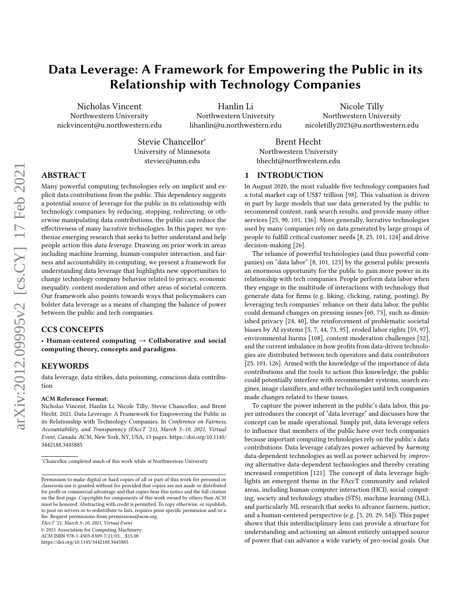# Data Leverage: A Framework for Empowering the Public in its Relationship with Technology Companies

Nicholas Vincent Northwestern University nickvincent@u.northwestern.edu

Hanlin Li Northwestern University lihanlin@u.northwestern.edu

Nicole Tilly Northwestern University nicoletilly2023@u.northwestern.edu

Stevie Chancellor<sup>∗</sup> University of Minnesota steviec@umn.edu

Brent Hecht Northwestern University bhecht@northwestern.edu

# ABSTRACT

Many powerful computing technologies rely on implicit and explicit data contributions from the public. This dependency suggests a potential source of leverage for the public in its relationship with technology companies: by reducing, stopping, redirecting, or otherwise manipulating data contributions, the public can reduce the effectiveness of many lucrative technologies. In this paper, we synthesize emerging research that seeks to better understand and help people action this data leverage. Drawing on prior work in areas including machine learning, human-computer interaction, and fairness and accountability in computing, we present a framework for understanding data leverage that highlights new opportunities to change technology company behavior related to privacy, economic inequality, content moderation and other areas of societal concern. Our framework also points towards ways that policymakers can bolster data leverage as a means of changing the balance of power between the public and tech companies.

# CCS CONCEPTS

• Human-centered computing  $\rightarrow$  Collaborative and social computing theory, concepts and paradigms.

## KEYWORDS

data leverage, data strikes, data poisoning, conscious data contribution

#### ACM Reference Format:

Nicholas Vincent, Hanlin Li, Nicole Tilly, Stevie Chancellor, and Brent Hecht. 2021. Data Leverage: A Framework for Empowering the Public in its Relationship with Technology Companies. In Conference on Fairness, Accountability, and Transparency (FAccT '21), March 3–10, 2021, Virtual Event, Canada. ACM, New York, NY, USA, [13](#page-12-0) pages. [https://doi.org/10.1145/](https://doi.org/10.1145/3442188.3445885) [3442188.3445885](https://doi.org/10.1145/3442188.3445885)

FAccT '21, March 3–10, 2021, Virtual Event

© 2021 Association for Computing Machinery.

ACM ISBN 978-1-4503-8309-7/21/03. . . \$15.00 <https://doi.org/10.1145/3442188.3445885>

# 1 INTRODUCTION

In August 2020, the most valuable five technology companies had a total market cap of US\$7 trillion [\[98\]](#page-11-0). This valuation is driven in part by large models that use data generated by the public to recommend content, rank search results, and provide many other services [\[25,](#page-10-0) [90,](#page-11-1) [101,](#page-11-2) [136\]](#page-12-1). More generally, lucrative technologies used by many companies rely on data generated by large groups of people to fulfill critical customer needs [\[8,](#page-10-1) [25,](#page-10-0) [101,](#page-11-2) [124\]](#page-12-2) and drive decision-making [\[26\]](#page-10-2).

The reliance of powerful technologies (and thus powerful companies) on "data labor" [\[8,](#page-10-1) [101,](#page-11-2) [123\]](#page-12-3) by the general public presents an enormous opportunity for the public to gain more power in its relationship with tech companies. People perform data labor when they engage in the multitude of interactions with technology that generate data for firms (e.g. liking, clicking, rating, posting). By leveraging tech companies' reliance on their data labor, the public could demand changes on pressing issues [\[60,](#page-11-3) [73\]](#page-11-4), such as diminished privacy [\[24,](#page-10-3) [40\]](#page-10-4), the reinforcement of problematic societal biases by AI systems [\[5,](#page-10-5) [7,](#page-10-6) [44,](#page-10-7) [73,](#page-11-4) [95\]](#page-11-5), eroded labor rights [\[59,](#page-11-6) [97\]](#page-11-7), environmental harms [\[108\]](#page-12-4), content moderation challenges [\[52\]](#page-11-8), and the current imbalance in how profits from data-driven technologies are distributed between tech operators and data contributors [\[25,](#page-10-0) [101,](#page-11-2) [126\]](#page-12-5). Armed with the knowledge of the importance of data contributions and the tools to action this knowledge, the public could potentially interfere with recommender systems, search engines, image classifiers, and other technologies until tech companies made changes related to these issues.

To capture the power inherent in the public's data labor, this paper introduces the concept of "data leverage" and discusses how the concept can be made operational. Simply put, data leverage refers to influence that members of the public have over tech companies because important computing technologies rely on the public's data contributions. Data leverage catalyzes power achieved by harming data-dependent technologies as well as power achieved by improving alternative data-dependent technologies and thereby creating increased competition [\[121\]](#page-12-6). The concept of data leverage highlights an emergent theme in the FAccT community and related areas, including human-computer interaction (HCI), social computing, society and technology studies (STS), machine learning (ML), and particularly ML research that seeks to advance fairness, justice, and a human-centered perspective (e.g. [\[5,](#page-10-5) [20,](#page-10-8) [29,](#page-10-9) [54\]](#page-11-9)). This paper shows that this interdisciplinary lens can provide a structure for understanding and actioning an almost entirely untapped source of power that can advance a wide variety of pro-social goals. Our

<sup>∗</sup>Chancellor completed much of this work while at Northwestern University.

Permission to make digital or hard copies of all or part of this work for personal or classroom use is granted without fee provided that copies are not made or distributed for profit or commercial advantage and that copies bear this notice and the full citation on the first page. Copyrights for components of this work owned by others than ACM must be honored. Abstracting with credit is permitted. To copy otherwise, or republish, to post on servers or to redistribute to lists, requires prior specific permission and/or a fee. Request permissions from permissions@acm.org.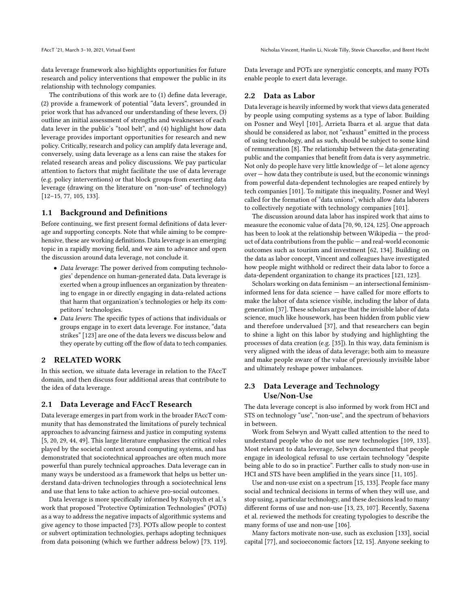data leverage framework also highlights opportunities for future research and policy interventions that empower the public in its relationship with technology companies.

The contributions of this work are to (1) define data leverage, (2) provide a framework of potential "data levers", grounded in prior work that has advanced our understanding of these levers, (3) outline an initial assessment of strengths and weaknesses of each data lever in the public's "tool belt", and (4) highlight how data leverage provides important opportunities for research and new policy. Critically, research and policy can amplify data leverage and, conversely, using data leverage as a lens can raise the stakes for related research areas and policy discussions. We pay particular attention to factors that might facilitate the use of data leverage (e.g. policy interventions) or that block groups from exerting data leverage (drawing on the literature on "non-use" of technology) [\[12](#page-10-10)[–15,](#page-10-11) [77,](#page-11-10) [105,](#page-12-7) [133\]](#page-12-8).

#### 1.1 Background and Definitions

Before continuing, we first present formal definitions of data leverage and supporting concepts. Note that while aiming to be comprehensive, these are working definitions. Data leverage is an emerging topic in a rapidly moving field, and we aim to advance and open the discussion around data leverage, not conclude it.

- Data leverage: The power derived from computing technologies' dependence on human-generated data. Data leverage is exerted when a group influences an organization by threatening to engage in or directly engaging in data-related actions that harm that organization's technologies or help its competitors' technologies.
- Data levers: The specific types of actions that individuals or groups engage in to exert data leverage. For instance, "data strikes" [\[123\]](#page-12-3) are one of the data levers we discuss below and they operate by cutting off the flow of data to tech companies.

# 2 RELATED WORK

In this section, we situate data leverage in relation to the FAccT domain, and then discuss four additional areas that contribute to the idea of data leverage.

#### 2.1 Data Leverage and FAccT Research

Data leverage emerges in part from work in the broader FAccT community that has demonstrated the limitations of purely technical approaches to advancing fairness and justice in computing systems [\[5,](#page-10-5) [20,](#page-10-8) [29,](#page-10-9) [44,](#page-10-7) [49\]](#page-10-12). This large literature emphasizes the critical roles played by the societal context around computing systems, and has demonstrated that sociotechnical approaches are often much more powerful than purely technical approaches. Data leverage can in many ways be understood as a framework that helps us better understand data-driven technologies through a sociotechnical lens and use that lens to take action to achieve pro-social outcomes.

Data leverage is more specifically informed by [Kulynych et al.'](#page-11-4)s work that proposed "Protective Optimization Technologies" (POTs) as a way to address the negative impacts of algorithmic systems and give agency to those impacted [\[73\]](#page-11-4). POTs allow people to contest or subvert optimization technologies, perhaps adopting techniques from data poisoning (which we further address below) [\[73,](#page-11-4) [119\]](#page-12-9). Data leverage and POTs are synergistic concepts, and many POTs enable people to exert data leverage.

#### 2.2 Data as Labor

Data leverage is heavily informed by work that views data generated by people using computing systems as a type of labor. Building on [Posner and Weyl](#page-11-2) [\[101\]](#page-11-2), [Arrieta Ibarra et al.](#page-10-1) argue that data should be considered as labor, not "exhaust" emitted in the process of using technology, and as such, should be subject to some kind of remuneration [\[8\]](#page-10-1). The relationship between the data-generating public and the companies that benefit from data is very asymmetric. Not only do people have very little knowledge of — let alone agency over — how data they contribute is used, but the economic winnings from powerful data-dependent technologies are reaped entirely by tech companies [\[101\]](#page-11-2). To mitigate this inequality, [Posner and Weyl](#page-11-2) called for the formation of "data unions", which allow data laborers to collectively negotiate with technology companies [\[101\]](#page-11-2).

The discussion around data labor has inspired work that aims to measure the economic value of data [\[70,](#page-11-11) [90,](#page-11-1) [124,](#page-12-2) [125\]](#page-12-10). One approach has been to look at the relationship between Wikipedia — the product of data contributions from the public — and real-world economic outcomes such as tourism and investment [\[62,](#page-11-12) [134\]](#page-12-11). Building on the data as labor concept, Vincent and colleagues have investigated how people might withhold or redirect their data labor to force a data-dependent organization to change its practices [\[121,](#page-12-6) [123\]](#page-12-3).

Scholars working on data feminism — an intersectional feminisminformed lens for data science — have called for more efforts to make the labor of data science visible, including the labor of data generation [\[37\]](#page-10-13). These scholars argue that the invisible labor of data science, much like housework, has been hidden from public view and therefore undervalued [\[37\]](#page-10-13), and that researchers can begin to shine a light on this labor by studying and highlighting the processes of data creation (e.g. [\[35\]](#page-10-14)). In this way, data feminism is very aligned with the ideas of data leverage; both aim to measure and make people aware of the value of previously invisible labor and ultimately reshape power imbalances.

# 2.3 Data Leverage and Technology Use/Non-Use

The data leverage concept is also informed by work from HCI and STS on technology "use", "non-use", and the spectrum of behaviors in between.

Work from [Selwyn](#page-12-12) and [Wyatt](#page-12-8) called attention to the need to understand people who do not use new technologies [\[109,](#page-12-12) [133\]](#page-12-8). Most relevant to data leverage, [Selwyn](#page-12-12) documented that people engage in ideological refusal to use certain technology "despite being able to do so in practice". Further calls to study non-use in HCI and STS have been amplified in the years since [\[11,](#page-10-15) [105\]](#page-12-7).

Use and non-use exist on a spectrum [\[15,](#page-10-11) [133\]](#page-12-8). People face many social and technical decisions in terms of when they will use, and stop using, a particular technology, and these decisions lead to many different forms of use and non-use [\[13,](#page-10-16) [23,](#page-10-17) [107\]](#page-12-13). Recently, [Saxena](#page-12-14) [et al.](#page-12-14) reviewed the methods for creating typologies to describe the many forms of use and non-use [\[106\]](#page-12-14).

Many factors motivate non-use, such as exclusion [\[133\]](#page-12-8), social capital [\[77\]](#page-11-10), and socioeconomic factors [\[12,](#page-10-10) [15\]](#page-10-11). Anyone seeking to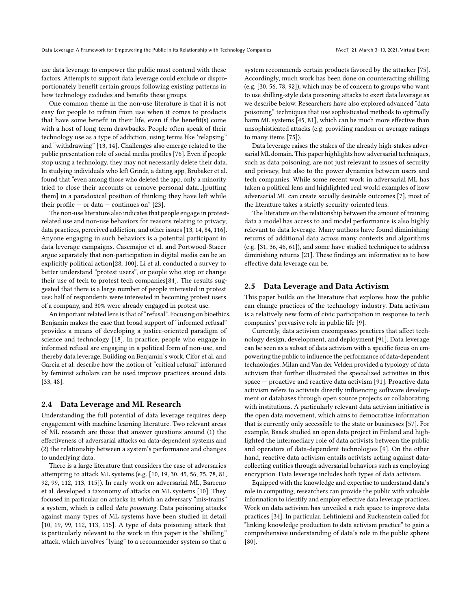use data leverage to empower the public must contend with these factors. Attempts to support data leverage could exclude or disproportionately benefit certain groups following existing patterns in how technology excludes and benefits these groups.

One common theme in the non-use literature is that it is not easy for people to refrain from use when it comes to products that have some benefit in their life, even if the benefit(s) come with a host of long-term drawbacks. People often speak of their technology use as a type of addiction, using terms like 'relapsing" and "withdrawing" [\[13,](#page-10-16) [14\]](#page-10-18). Challenges also emerge related to the public presentation role of social media profiles [\[76\]](#page-11-13). Even if people stop using a technology, they may not necessarily delete their data. In studying individuals who left Grindr, a dating app, [Brubaker et al.](#page-10-17) found that "even among those who deleted the app, only a minority tried to close their accounts or remove personal data...[putting them] in a paradoxical position of thinking they have left while their profile — or data — continues on"  $[23]$ .

The non-use literature also indicates that people engage in protestrelated use and non-use behaviors for reasons relating to privacy, data practices, perceived addiction, and other issues [\[13,](#page-10-16) [14,](#page-10-18) [84,](#page-11-14) [116\]](#page-12-15). Anyone engaging in such behaviors is a potential participant in data leverage campaigns. [Casemajor et al.](#page-10-19) and [Portwood-Stacer](#page-11-15) argue separately that non-participation in digital media can be an explicitly political action[\[28,](#page-10-19) [100\]](#page-11-15). [Li et al.](#page-11-14) conducted a survey to better understand "protest users", or people who stop or change their use of tech to protest tech companies[\[84\]](#page-11-14). The results suggested that there is a large number of people interested in protest use: half of respondents were interested in becoming protest users of a company, and 30% were already engaged in protest use.

An important related lens is that of "refusal". Focusing on bioethics, Benjamin makes the case that broad support of "informed refusal" provides a means of developing a justice-oriented paradigm of science and technology [\[18\]](#page-10-20). In practice, people who engage in informed refusal are engaging in a political form of non-use, and thereby data leverage. Building on Benjamin's work, [Cifor et al.](#page-10-21) and [Garcia et al.](#page-10-22) describe how the notion of "critical refusal" informed by feminist scholars can be used improve practices around data [\[33,](#page-10-21) [48\]](#page-10-22).

#### 2.4 Data Leverage and ML Research

Understanding the full potential of data leverage requires deep engagement with machine learning literature. Two relevant areas of ML research are those that answer questions around (1) the effectiveness of adversarial attacks on data-dependent systems and (2) the relationship between a system's performance and changes to underlying data.

There is a large literature that considers the case of adversaries attempting to attack ML systems (e.g. [\[10,](#page-10-23) [19,](#page-10-24) [30,](#page-10-25) [45,](#page-10-26) [56,](#page-11-16) [75,](#page-11-17) [78,](#page-11-18) [81,](#page-11-19) [92,](#page-11-20) [99,](#page-11-21) [112,](#page-12-16) [113,](#page-12-17) [115\]](#page-12-18)). In early work on adversarial ML, [Barreno](#page-10-23) [et al.](#page-10-23) developed a taxonomy of attacks on ML systems [\[10\]](#page-10-23). They focused in particular on attacks in which an adversary "mis-trains" a system, which is called data poisoning. Data poisoning attacks against many types of ML systems have been studied in detail [\[10,](#page-10-23) [19,](#page-10-24) [99,](#page-11-21) [112,](#page-12-16) [113,](#page-12-17) [115\]](#page-12-18). A type of data poisoning attack that is particularly relevant to the work in this paper is the "shilling" attack, which involves "lying" to a recommender system so that a

system recommends certain products favored by the attacker [\[75\]](#page-11-17). Accordingly, much work has been done on counteracting shilling (e.g. [\[30,](#page-10-25) [56,](#page-11-16) [78,](#page-11-18) [92\]](#page-11-20)), which may be of concern to groups who want to use shilling-style data poisoning attacks to exert data leverage as we describe below. Researchers have also explored advanced "data poisoning" techniques that use sophisticated methods to optimally harm ML systems [\[45,](#page-10-26) [81\]](#page-11-19), which can be much more effective than unsophisticated attacks (e.g. providing random or average ratings to many items [\[75\]](#page-11-17)).

Data leverage raises the stakes of the already high-stakes adversarial ML domain. This paper highlights how adversarial techniques, such as data poisoning, are not just relevant to issues of security and privacy, but also to the power dynamics between users and tech companies. While some recent work in adversarial ML has taken a political lens and highlighted real world examples of how adversarial ML can create socially desirable outcomes [\[7\]](#page-10-6), most of the literature takes a strictly security-oriented lens.

The literature on the relationship between the amount of training data a model has access to and model performance is also highly relevant to data leverage. Many authors have found diminishing returns of additional data across many contexts and algorithms (e.g. [\[31,](#page-10-27) [36,](#page-10-28) [46,](#page-10-29) [61\]](#page-11-22)), and some have studied techniques to address diminishing returns [\[21\]](#page-10-30). These findings are informative as to how effective data leverage can be.

#### 2.5 Data Leverage and Data Activism

This paper builds on the literature that explores how the public can change practices of the technology industry. Data activism is a relatively new form of civic participation in response to tech companies' pervasive role in public life [\[9\]](#page-10-31).

Currently, data activism encompasses practices that affect technology design, development, and deployment [\[91\]](#page-11-23). Data leverage can be seen as a subset of data activism with a specific focus on empowering the public to influence the performance of data-dependent technologies. [Milan and Van der Velden](#page-11-23) provided a typology of data activism that further illustrated the specialized activities in this space — proactive and reactive data activism [\[91\]](#page-11-23). Proactive data activism refers to activists directly influencing software development or databases through open source projects or collaborating with institutions. A particularly relevant data activism initiative is the open data movement, which aims to democratize information that is currently only accessible to the state or businesses [\[57\]](#page-11-24). For example, [Baack](#page-10-31) studied an open data project in Finland and highlighted the intermediary role of data activists between the public and operators of data-dependent technologies [\[9\]](#page-10-31). On the other hand, reactive data activism entails activists acting against datacollecting entities through adversarial behaviors such as employing encryption. Data leverage includes both types of data activism.

Equipped with the knowledge and expertise to understand data's role in computing, researchers can provide the public with valuable information to identify and employ effective data leverage practices. Work on data activism has unveiled a rich space to improve data practices [\[34\]](#page-10-32). In particular, [Lehtiniemi and Ruckenstein](#page-11-25) called for "linking knowledge production to data activism practice" to gain a comprehensive understanding of data's role in the public sphere [\[80\]](#page-11-25).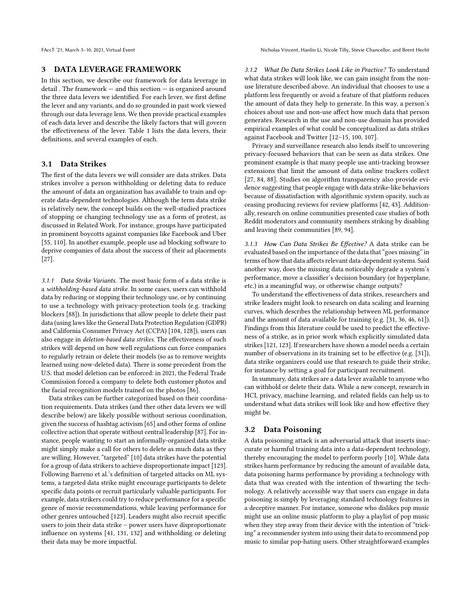### 3 DATA LEVERAGE FRAMEWORK

In this section, we describe our framework for data leverage in detail . The framework — and this section — is organized around the three data levers we identified. For each lever, we first define the lever and any variants, and do so grounded in past work viewed through our data leverage lens. We then provide practical examples of each data lever and describe the likely factors that will govern the effectiveness of the lever. Table 1 lists the data levers, their definitions, and several examples of each.

# 3.1 Data Strikes

The first of the data levers we will consider are data strikes. Data strikes involve a person withholding or deleting data to reduce the amount of data an organization has available to train and operate data-dependent technologies. Although the term data strike is relatively new, the concept builds on the well-studied practices of stopping or changing technology use as a form of protest, as discussed in Related Work. For instance, groups have participated in prominent boycotts against companies like Facebook and Uber [\[55,](#page-11-26) [110\]](#page-12-19). In another example, people use ad blocking software to deprive companies of data about the success of their ad placements [\[27\]](#page-10-33).

3.1.1 Data Strike Variants. The most basic form of a data strike is a withholding-based data strike. In some cases, users can withhold data by reducing or stopping their technology use, or by continuing to use a technology with privacy-protection tools (e.g. tracking blockers [\[88\]](#page-11-27)). In jurisdictions that allow people to delete their past data (using laws like the General Data Protection Regulation (GDPR) and California Consumer Privacy Act (CCPA) [\[104,](#page-12-20) [128\]](#page-12-21)), users can also engage in deletion-based data strikes. The effectiveness of such strikes will depend on how well regulations can force companies to regularly retrain or delete their models (so as to remove weights learned using now-deleted data). There is some precedent from the U.S. that model deletion can be enforced: in 2021, the Federal Trade Commission forced a company to delete both customer photos and the facial recognition models trained on the photos [\[86\]](#page-11-28).

Data strikes can be further categorized based on their coordination requirements. Data strikes (and ther other data levers we will describe below) are likely possible without serious coordination, given the success of hashtag activism [\[65\]](#page-11-29) and other forms of online collective action that operate without central leadership [\[87\]](#page-11-30). For instance, people wanting to start an informally-organized data strike might simply make a call for others to delete as much data as they are willing. However, "targeted" [\[10\]](#page-10-23) data strikes have the potential for a group of data strikers to achieve disproportionate impact [\[123\]](#page-12-3). Following [Barreno et al.'](#page-10-23)s definition of targeted attacks on ML systems, a targeted data strike might encourage participants to delete specific data points or recruit particularly valuable participants. For example, data strikers could try to reduce performance for a specific genre of movie recommendations, while leaving performance for other genres untouched [\[123\]](#page-12-3). Leaders might also recruit specific users to join their data strike – power users have disproportionate influence on systems [\[41,](#page-10-34) [131,](#page-12-22) [132\]](#page-12-23) and withholding or deleting their data may be more impactful.

3.1.2 What Do Data Strikes Look Like in Practice? To understand what data strikes will look like, we can gain insight from the nonuse literature described above. An individual that chooses to use a platform less frequently or avoid a feature of that platform reduces the amount of data they help to generate. In this way, a person's choices about use and non-use affect how much data that person generates. Research in the use and non-use domain has provided empirical examples of what could be conceptualized as data strikes against Facebook and Twitter [\[12–](#page-10-10)[15,](#page-10-11) [100,](#page-11-15) [107\]](#page-12-13).

Privacy and surveillance research also lends itself to uncovering privacy-focused behaviors that can be seen as data strikes. One prominent example is that many people use anti-tracking browser extensions that limit the amount of data online trackers collect [\[27,](#page-10-33) [84,](#page-11-14) [88\]](#page-11-27). Studies on algorithm transparency also provide evidence suggesting that people engage with data strike-like behaviors because of dissatisfaction with algorithmic system opacity, such as ceasing producing reviews for review platforms [\[42,](#page-10-35) [43\]](#page-10-36). Additionally, research on online communities presented case studies of both Reddit moderators and community members striking by disabling and leaving their communities [\[89,](#page-11-31) [94\]](#page-11-32).

3.1.3 How Can Data Strikes Be Effective? A data strike can be evaluated based on the importance of the data that "goes missing" in terms of how that data affects relevant data-dependent systems. Said another way, does the missing data noticeably degrade a system's performance, move a classifier's decision boundary (or hyperplane, etc.) in a meaningful way, or otherwise change outputs?

To understand the effectiveness of data strikes, researchers and strike leaders might look to research on data scaling and learning curves, which describes the relationship between ML performance and the amount of data available for training (e.g. [\[31,](#page-10-27) [36,](#page-10-28) [46,](#page-10-29) [61\]](#page-11-22)). Findings from this literature could be used to predict the effectiveness of a strike, as in prior work which explicitly simulated data strikes [\[121,](#page-12-6) [123\]](#page-12-3). If researchers have shown a model needs a certain number of observations in its training set to be effective (e.g. [\[31\]](#page-10-27)), data strike organizers could use that research to guide their strike, for instance by setting a goal for participant recruitment.

In summary, data strikes are a data lever available to anyone who can withhold or delete their data. While a new concept, research in HCI, privacy, machine learning, and related fields can help us to understand what data strikes will look like and how effective they might be.

#### 3.2 Data Poisoning

A data poisoning attack is an adversarial attack that inserts inaccurate or harmful training data into a data-dependent technology, thereby encouraging the model to perform poorly [\[10\]](#page-10-23). While data strikes harm performance by reducing the amount of available data, data poisoning harms performance by providing a technology with data that was created with the intention of thwarting the technology. A relatively accessible way that users can engage in data poisoning is simply by leveraging standard technology features in a deceptive manner. For instance, someone who dislikes pop music might use an online music platform to play a playlist of pop music when they step away from their device with the intention of "tricking" a recommender system into using their data to recommend pop music to similar pop-hating users. Other straightforward examples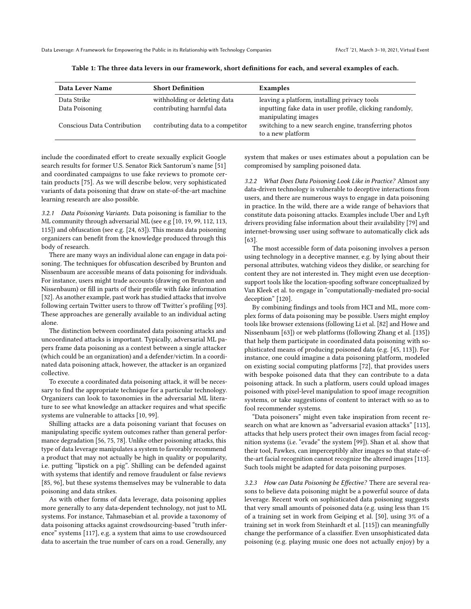Data Leverage: A Framework for Empowering the Public in its Relationship with Technology Companies FAccT '21, March 3-10, 2021, Virtual Event

| Data Lever Name               | <b>Short Definition</b>                                   | Examples                                                                                                                       |
|-------------------------------|-----------------------------------------------------------|--------------------------------------------------------------------------------------------------------------------------------|
| Data Strike<br>Data Poisoning | withholding or deleting data<br>contributing harmful data | leaving a platform, installing privacy tools<br>inputting fake data in user profile, clicking randomly,<br>manipulating images |
| Conscious Data Contribution   | contributing data to a competitor                         | switching to a new search engine, transferring photos<br>to a new platform                                                     |

Table 1: The three data levers in our framework, short definitions for each, and several examples of each.

include the coordinated effort to create sexually explicit Google search results for former U.S. Senator Rick Santorum's name [\[51\]](#page-11-33) and coordinated campaigns to use fake reviews to promote certain products [\[75\]](#page-11-17). As we will describe below, very sophisticated variants of data poisoning that draw on state-of-the-art machine learning research are also possible.

3.2.1 Data Poisoning Variants. Data poisoning is familiar to the ML community through adversarial ML (see e.g [\[10,](#page-10-23) [19,](#page-10-24) [99,](#page-11-21) [112,](#page-12-16) [113,](#page-12-17) [115\]](#page-12-18)) and obfuscation (see e.g. [\[24,](#page-10-3) [63\]](#page-11-34)). This means data poisoning organizers can benefit from the knowledge produced through this body of research.

There are many ways an individual alone can engage in data poisoning. The techniques for obfuscation described by [Brunton and](#page-10-3) [Nissenbaum](#page-10-3) are accessible means of data poisoning for individuals. For instance, users might trade accounts (drawing on [Brunton and](#page-10-3) [Nissenbaum\)](#page-10-3) or fill in parts of their profile with fake information [\[32\]](#page-10-37). As another example, past work has studied attacks that involve following certain Twitter users to throw off Twitter's profiling [\[93\]](#page-11-35). These approaches are generally available to an individual acting alone.

The distinction between coordinated data poisoning attacks and uncoordinated attacks is important. Typically, adversarial ML papers frame data poisoning as a contest between a single attacker (which could be an organization) and a defender/victim. In a coordinated data poisoning attack, however, the attacker is an organized collective.

To execute a coordinated data poisoning attack, it will be necessary to find the appropriate technique for a particular technology. Organizers can look to taxonomies in the adversarial ML literature to see what knowledge an attacker requires and what specific systems are vulnerable to attacks [\[10,](#page-10-23) [99\]](#page-11-21).

Shilling attacks are a data poisoning variant that focuses on manipulating specific system outcomes rather than general performance degradation [\[56,](#page-11-16) [75,](#page-11-17) [78\]](#page-11-18). Unlike other poisoning attacks, this type of data leverage manipulates a system to favorably recommend a product that may not actually be high in quality or popularity, i.e. putting "lipstick on a pig". Shilling can be defended against with systems that identify and remove fraudulent or false reviews [\[85,](#page-11-36) [96\]](#page-11-37), but these systems themselves may be vulnerable to data poisoning and data strikes.

As with other forms of data leverage, data poisoning applies more generally to any data-dependent technology, not just to ML systems. For instance, [Tahmasebian et al.](#page-12-24) provide a taxonomy of data poisoning attacks against crowdsourcing-based "truth inference" systems [\[117\]](#page-12-24), e.g. a system that aims to use crowdsourced data to ascertain the true number of cars on a road. Generally, any

system that makes or uses estimates about a population can be compromised by sampling poisoned data.

3.2.2 What Does Data Poisoning Look Like in Practice? Almost any data-driven technology is vulnerable to deceptive interactions from users, and there are numerous ways to engage in data poisoning in practice. In the wild, there are a wide range of behaviors that constitute data poisoning attacks. Examples include Uber and Lyft drivers providing false information about their availability [\[79\]](#page-11-38) and internet-browsing user using software to automatically click ads [\[63\]](#page-11-34).

The most accessible form of data poisoning involves a person using technology in a deceptive manner, e.g. by lying about their personal attributes, watching videos they dislike, or searching for content they are not interested in. They might even use deceptionsupport tools like the location-spoofing software conceptualized by [Van Kleek et al.](#page-12-25) to engage in "computationally-mediated pro-social deception" [\[120\]](#page-12-25).

By combining findings and tools from HCI and ML, more complex forms of data poisoning may be possible. Users might employ tools like browser extensions (following [Li et al.](#page-11-39) [\[82\]](#page-11-39) and [Howe and](#page-11-34) [Nissenbaum](#page-11-34) [\[63\]](#page-11-34)) or web platforms (following [Zhang et al.](#page-12-26) [\[135\]](#page-12-26)) that help them participate in coordinated data poisoning with sophisticated means of producing poisoned data (e.g. [\[45,](#page-10-26) [113\]](#page-12-17)). For instance, one could imagine a data poisoning platform, modeled on existing social computing platforms [\[72\]](#page-11-40), that provides users with bespoke poisoned data that they can contribute to a data poisoning attack. In such a platform, users could upload images poisoned with pixel-level manipulation to spoof image recognition systems, or take suggestions of content to interact with so as to fool recommender systems.

"Data poisoners" might even take inspiration from recent research on what are known as "adversarial evasion attacks" [\[113\]](#page-12-17), attacks that help users protect their own images from facial recognition systems (i.e. "evade" the system [\[99\]](#page-11-21)). [Shan et al.](#page-12-17) show that their tool, Fawkes, can imperceptibly alter images so that state-ofthe-art facial recognition cannot recognize the altered images [\[113\]](#page-12-17). Such tools might be adapted for data poisoning purposes.

3.2.3 How can Data Poisoning be Effective? There are several reasons to believe data poisoning might be a powerful source of data leverage. Recent work on sophisticated data poisoning suggests that very small amounts of poisoned data (e.g. using less than 1% of a training set in work from [Geiping et al.](#page-10-38) [\[50\]](#page-10-38), using 3% of a training set in work from [Steinhardt et al.](#page-12-18) [\[115\]](#page-12-18)) can meaningfully change the performance of a classifier. Even unsophisticated data poisoning (e.g. playing music one does not actually enjoy) by a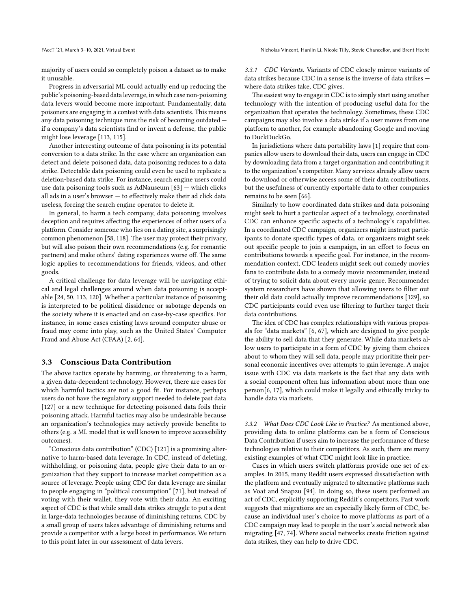majority of users could so completely poison a dataset as to make it unusable.

Progress in adversarial ML could actually end up reducing the public's poisoning-based data leverage, in which case non-poisoning data levers would become more important. Fundamentally, data poisoners are engaging in a contest with data scientists. This means any data poisoning technique runs the risk of becoming outdated if a company's data scientists find or invent a defense, the public might lose leverage [\[113,](#page-12-17) [115\]](#page-12-18).

Another interesting outcome of data poisoning is its potential conversion to a data strike. In the case where an organization can detect and delete poisoned data, data poisoning reduces to a data strike. Detectable data poisoning could even be used to replicate a deletion-based data strike. For instance, search engine users could use data poisoning tools such as AdNauseum [\[63\]](#page-11-34) — which clicks all ads in a user's browser — to effectively make their ad click data useless, forcing the search engine operator to delete it.

In general, to harm a tech company, data poisoning involves deception and requires affecting the experiences of other users of a platform. Consider someone who lies on a dating site, a surprisingly common phenomenon [\[58,](#page-11-41) [118\]](#page-12-27). The user may protect their privacy, but will also poison their own recommendations (e.g. for romantic partners) and make others' dating experiences worse off. The same logic applies to recommendations for friends, videos, and other goods.

A critical challenge for data leverage will be navigating ethical and legal challenges around when data poisoning is acceptable [\[24,](#page-10-3) [50,](#page-10-38) [113,](#page-12-17) [120\]](#page-12-25). Whether a particular instance of poisoning is interpreted to be political dissidence or sabotage depends on the society where it is enacted and on case-by-case specifics. For instance, in some cases existing laws around computer abuse or fraud may come into play, such as the United States' Computer Fraud and Abuse Act (CFAA) [\[2,](#page-9-0) [64\]](#page-11-42).

#### 3.3 Conscious Data Contribution

The above tactics operate by harming, or threatening to a harm, a given data-dependent technology. However, there are cases for which harmful tactics are not a good fit. For instance, perhaps users do not have the regulatory support needed to delete past data [\[127\]](#page-12-28) or a new technique for detecting poisoned data foils their poisoning attack. Harmful tactics may also be undesirable because an organization's technologies may actively provide benefits to others (e.g. a ML model that is well known to improve accessibility outcomes).

"Conscious data contribution" (CDC) [\[121\]](#page-12-6) is a promising alternative to harm-based data leverage. In CDC, instead of deleting, withholding, or poisoning data, people give their data to an organization that they support to increase market competition as a source of leverage. People using CDC for data leverage are similar to people engaging in "political consumption" [\[71\]](#page-11-43), but instead of voting with their wallet, they vote with their data. An exciting aspect of CDC is that while small data strikes struggle to put a dent in large-data technologies because of diminishing returns, CDC by a small group of users takes advantage of diminishing returns and provide a competitor with a large boost in performance. We return to this point later in our assessment of data levers.

3.3.1 CDC Variants. Variants of CDC closely mirror variants of data strikes because CDC in a sense is the inverse of data strikes where data strikes take, CDC gives.

The easiest way to engage in CDC is to simply start using another technology with the intention of producing useful data for the organization that operates the technology. Sometimes, these CDC campaigns may also involve a data strike if a user moves from one platform to another, for example abandoning Google and moving to DuckDuckGo.

In jurisdictions where data portability laws [\[1\]](#page-9-1) require that companies allow users to download their data, users can engage in CDC by downloading data from a target organization and contributing it to the organization's competitor. Many services already allow users to download or otherwise access some of their data contributions, but the usefulness of currently exportable data to other companies remains to be seen [\[66\]](#page-11-44).

Similarly to how coordinated data strikes and data poisoning might seek to hurt a particular aspect of a technology, coordinated CDC can enhance specific aspects of a technology's capabilities. In a coordinated CDC campaign, organizers might instruct participants to donate specific types of data, or organizers might seek out specific people to join a campaign, in an effort to focus on contributions towards a specific goal. For instance, in the recommendation context, CDC leaders might seek out comedy movies fans to contribute data to a comedy movie recommender, instead of trying to solicit data about every movie genre. Recommender system researchers have shown that allowing users to filter out their old data could actually improve recommendations [\[129\]](#page-12-29), so CDC participants could even use filtering to further target their data contributions.

The idea of CDC has complex relationships with various proposals for "data markets" [\[6,](#page-10-39) [67\]](#page-11-45), which are designed to give people the ability to sell data that they generate. While data markets allow users to participate in a form of CDC by giving them choices about to whom they will sell data, people may prioritize their personal economic incentives over attempts to gain leverage. A major issue with CDC via data markets is the fact that any data with a social component often has information about more than one person[\[6,](#page-10-39) [17\]](#page-10-40), which could make it legally and ethically tricky to handle data via markets.

3.3.2 What Does CDC Look Like in Practice? As mentioned above, providing data to online platforms can be a form of Conscious Data Contribution if users aim to increase the performance of these technologies relative to their competitors. As such, there are many existing examples of what CDC might look like in practice.

Cases in which users switch platforms provide one set of examples. In 2015, many Reddit users expressed dissatisfaction with the platform and eventually migrated to alternative platforms such as Voat and Snapzu [\[94\]](#page-11-32). In doing so, these users performed an act of CDC, explicitly supporting Reddit's competitors. Past work suggests that migrations are an especially likely form of CDC, because an individual user's choice to move platforms as part of a CDC campaign may lead to people in the user's social network also migrating [\[47,](#page-10-41) [74\]](#page-11-46). Where social networks create friction against data strikes, they can help to drive CDC.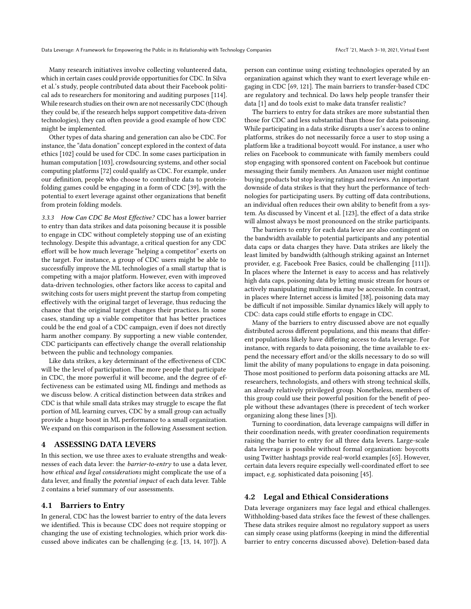Many research initiatives involve collecting volunteered data, which in certain cases could provide opportunities for CDC. In [Silva](#page-12-30) [et al.'](#page-12-30)s study, people contributed data about their Facebook political ads to researchers for monitoring and auditing purposes [\[114\]](#page-12-30). While research studies on their own are not necessarily CDC (though they could be, if the research helps support competitive data-driven technologies), they can often provide a good example of how CDC might be implemented.

Other types of data sharing and generation can also be CDC. For instance, the "data donation" concept explored in the context of data ethics [\[102\]](#page-12-31) could be used for CDC. In some cases participation in human computation [\[103\]](#page-12-32), crowdsourcing systems, and other social computing platforms [\[72\]](#page-11-40) could qualify as CDC. For example, under our definition, people who choose to contribute data to proteinfolding games could be engaging in a form of CDC [\[39\]](#page-10-42), with the potential to exert leverage against other organizations that benefit from protein folding models.

3.3.3 How Can CDC Be Most Effective? CDC has a lower barrier to entry than data strikes and data poisoning because it is possible to engage in CDC without completely stopping use of an existing technology. Despite this advantage, a critical question for any CDC effort will be how much leverage "helping a competitor" exerts on the target. For instance, a group of CDC users might be able to successfully improve the ML technologies of a small startup that is competing with a major platform. However, even with improved data-driven technologies, other factors like access to capital and switching costs for users might prevent the startup from competing effectively with the original target of leverage, thus reducing the chance that the original target changes their practices. In some cases, standing up a viable competitor that has better practices could be the end goal of a CDC campaign, even if does not directly harm another company. By supporting a new viable contender, CDC participants can effectively change the overall relationship between the public and technology companies.

Like data strikes, a key determinant of the effectiveness of CDC will be the level of participation. The more people that participate in CDC, the more powerful it will become, and the degree of effectiveness can be estimated using ML findings and methods as we discuss below. A critical distinction between data strikes and CDC is that while small data strikes may struggle to escape the flat portion of ML learning curves, CDC by a small group can actually provide a huge boost in ML performance to a small organization. We expand on this comparison in the following Assessment section.

## 4 ASSESSING DATA LEVERS

In this section, we use three axes to evaluate strengths and weaknesses of each data lever: the barrier-to-entry to use a data lever, how ethical and legal considerations might complicate the use of a data lever, and finally the potential impact of each data lever. Table 2 contains a brief summary of our assessments.

#### 4.1 Barriers to Entry

In general, CDC has the lowest barrier to entry of the data levers we identified. This is because CDC does not require stopping or changing the use of existing technologies, which prior work discussed above indicates can be challenging (e.g. [\[13,](#page-10-16) [14,](#page-10-18) [107\]](#page-12-13)). A

person can continue using existing technologies operated by an organization against which they want to exert leverage while engaging in CDC [\[69,](#page-11-47) [121\]](#page-12-6). The main barriers to transfer-based CDC are regulatory and technical. Do laws help people transfer their data [\[1\]](#page-9-1) and do tools exist to make data transfer realistic?

The barriers to entry for data strikes are more substantial then those for CDC and less substantial than those for data poisoning. While participating in a data strike disrupts a user's access to online platforms, strikes do not necessarily force a user to stop using a platform like a traditional boycott would. For instance, a user who relies on Facebook to communicate with family members could stop engaging with sponsored content on Facebook but continue messaging their family members. An Amazon user might continue buying products but stop leaving ratings and reviews. An important downside of data strikes is that they hurt the performance of technologies for participating users. By cutting off data contributions, an individual often reduces their own ability to benefit from a system. As discussed by [Vincent et al.](#page-12-3) [\[123\]](#page-12-3), the effect of a data strike will almost always be most pronounced on the strike participants.

The barriers to entry for each data lever are also contingent on the bandwidth available to potential participants and any potential data caps or data charges they have. Data strikes are likely the least limited by bandwidth (although striking against an Internet provider, e.g. Facebook Free Basics, could be challenging [\[111\]](#page-12-33)). In places where the Internet is easy to access and has relatively high data caps, poisoning data by letting music stream for hours or actively manipulating multimedia may be accessible. In contrast, in places where Internet access is limited [\[38\]](#page-10-43), poisoning data may be difficult if not impossible. Similar dynamics likely will apply to CDC: data caps could stifle efforts to engage in CDC.

Many of the barriers to entry discussed above are not equally distributed across different populations, and this means that different populations likely have differing access to data leverage. For instance, with regards to data poisoning, the time available to expend the necessary effort and/or the skills necessary to do so will limit the ability of many populations to engage in data poisoning. Those most positioned to perform data poisoning attacks are ML researchers, technologists, and others with strong technical skills, an already relatively privileged group. Nonetheless, members of this group could use their powerful position for the benefit of people without these advantages (there is precedent of tech worker organizing along these lines [\[3\]](#page-9-2)).

Turning to coordination, data leverage campaigns will differ in their coordination needs, with greater coordination requirements raising the barrier to entry for all three data levers. Large-scale data leverage is possible without formal organization: boycotts using Twitter hashtags provide real-world examples [\[65\]](#page-11-29). However, certain data levers require especially well-coordinated effort to see impact, e.g. sophisticated data poisoning [\[45\]](#page-10-26).

## 4.2 Legal and Ethical Considerations

Data leverage organizers may face legal and ethical challenges. Withholding-based data strikes face the fewest of these challenges. These data strikes require almost no regulatory support as users can simply cease using platforms (keeping in mind the differential barrier to entry concerns discussed above). Deletion-based data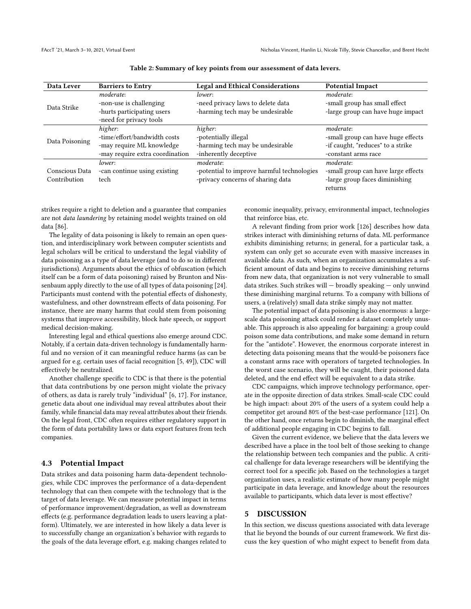| Data Lever                     | <b>Barriers to Entry</b>        | <b>Legal and Ethical Considerations</b>    | <b>Potential Impact</b>             |
|--------------------------------|---------------------------------|--------------------------------------------|-------------------------------------|
| Data Strike                    | moderate:                       | lower:                                     | moderate:                           |
|                                | -non-use is challenging         | -need privacy laws to delete data          | -small group has small effect       |
|                                | -hurts participating users      | -harming tech may be undesirable           | -large group can have huge impact   |
|                                | -need for privacy tools         |                                            |                                     |
| Data Poisoning                 | higher:                         | higher:                                    | moderate:                           |
|                                | -time/effort/bandwidth costs    | -potentially illegal                       | -small group can have huge effects  |
|                                | -may require ML knowledge       | -harming tech may be undesirable           | -if caught, "reduces" to a strike   |
|                                | -may require extra coordination | -inherently deceptive                      | -constant arms race                 |
| Conscious Data<br>Contribution | lower:                          | moderate:                                  | moderate:                           |
|                                | -can continue using existing    | -potential to improve harmful technologies | -small group can have large effects |
|                                | tech                            | -privacy concerns of sharing data          | -large group faces diminishing      |
|                                |                                 |                                            | returns                             |

Table 2: Summary of key points from our assessment of data levers.

strikes require a right to deletion and a guarantee that companies are not data laundering by retaining model weights trained on old data [\[86\]](#page-11-28).

The legality of data poisoning is likely to remain an open question, and interdisciplinary work between computer scientists and legal scholars will be critical to understand the legal viability of data poisoning as a type of data leverage (and to do so in different jurisdictions). Arguments about the ethics of obfuscation (which itself can be a form of data poisoning) raised by [Brunton and Nis](#page-10-3)[senbaum](#page-10-3) apply directly to the use of all types of data poisoning [\[24\]](#page-10-3). Participants must contend with the potential effects of dishonesty, wastefulness, and other downstream effects of data poisoning. For instance, there are many harms that could stem from poisoning systems that improve accessibility, block hate speech, or support medical decision-making.

Interesting legal and ethical questions also emerge around CDC. Notably, if a certain data-driven technology is fundamentally harmful and no version of it can meaningful reduce harms (as can be argued for e.g. certain uses of facial recognition [\[5,](#page-10-5) [49\]](#page-10-12)), CDC will effectively be neutralized.

Another challenge specific to CDC is that there is the potential that data contributions by one person might violate the privacy of others, as data is rarely truly "individual" [\[6,](#page-10-39) [17\]](#page-10-40). For instance, genetic data about one individual may reveal attributes about their family, while financial data may reveal attributes about their friends. On the legal front, CDC often requires either regulatory support in the form of data portability laws or data export features from tech companies.

### 4.3 Potential Impact

Data strikes and data poisoning harm data-dependent technologies, while CDC improves the performance of a data-dependent technology that can then compete with the technology that is the target of data leverage. We can measure potential impact in terms of performance improvement/degradation, as well as downstream effects (e.g. performance degradation leads to users leaving a platform). Ultimately, we are interested in how likely a data lever is to successfully change an organization's behavior with regards to the goals of the data leverage effort, e.g. making changes related to

economic inequality, privacy, environmental impact, technologies that reinforce bias, etc.

A relevant finding from prior work [\[126\]](#page-12-5) describes how data strikes interact with diminishing returns of data. ML performance exhibits diminishing returns; in general, for a particular task, a system can only get so accurate even with massive increases in available data. As such, when an organization accumulates a sufficient amount of data and begins to receive diminishing returns from new data, that organization is not very vulnerable to small data strikes. Such strikes will — broadly speaking — only unwind these diminishing marginal returns. To a company with billions of users, a (relatively) small data strike simply may not matter.

The potential impact of data poisoning is also enormous: a largescale data poisoning attack could render a dataset completely unusable. This approach is also appealing for bargaining: a group could poison some data contributions, and make some demand in return for the "antidote". However, the enormous corporate interest in detecting data poisoning means that the would-be poisoners face a constant arms race with operators of targeted technologies. In the worst case scenario, they will be caught, their poisoned data deleted, and the end effect will be equivalent to a data strike.

CDC campaigns, which improve technology performance, operate in the opposite direction of data strikes. Small-scale CDC could be high impact: about 20% of the users of a system could help a competitor get around 80% of the best-case performance [\[121\]](#page-12-6). On the other hand, once returns begin to diminish, the marginal effect of additional people engaging in CDC begins to fall.

Given the current evidence, we believe that the data levers we described have a place in the tool belt of those seeking to change the relationship between tech companies and the public. A critical challenge for data leverage researchers will be identifying the correct tool for a specific job. Based on the technologies a target organization uses, a realistic estimate of how many people might participate in data leverage, and knowledge about the resources available to participants, which data lever is most effective?

## 5 DISCUSSION

In this section, we discuss questions associated with data leverage that lie beyond the bounds of our current framework. We first discuss the key question of who might expect to benefit from data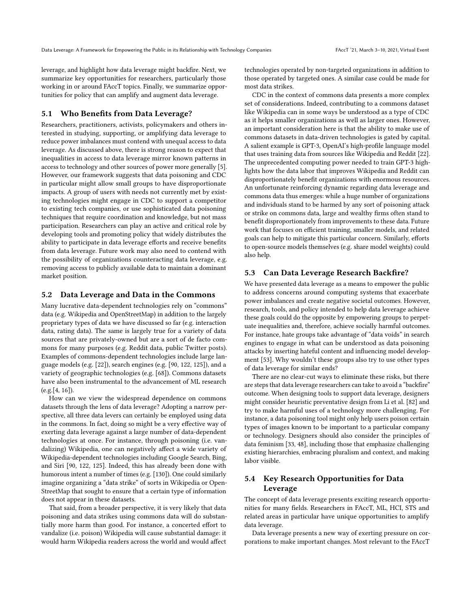leverage, and highlight how data leverage might backfire. Next, we summarize key opportunities for researchers, particularly those working in or around FAccT topics. Finally, we summarize opportunities for policy that can amplify and augment data leverage.

# 5.1 Who Benefits from Data Leverage?

Researchers, practitioners, activists, policymakers and others interested in studying, supporting, or amplifying data leverage to reduce power imbalances must contend with unequal access to data leverage. As discussed above, there is strong reason to expect that inequalities in access to data leverage mirror known patterns in access to technology and other sources of power more generally [\[5\]](#page-10-5). However, our framework suggests that data poisoning and CDC in particular might allow small groups to have disproportionate impacts. A group of users with needs not currently met by existing technologies might engage in CDC to support a competitor to existing tech companies, or use sophisticated data poisoning techniques that require coordination and knowledge, but not mass participation. Researchers can play an active and critical role by developing tools and promoting policy that widely distributes the ability to participate in data leverage efforts and receive benefits from data leverage. Future work may also need to contend with the possibility of organizations counteracting data leverage, e.g. removing access to publicly available data to maintain a dominant market position.

#### 5.2 Data Leverage and Data in the Commons

Many lucrative data-dependent technologies rely on "commons" data (e.g. Wikipedia and OpenStreetMap) in addition to the largely proprietary types of data we have discussed so far (e.g. interaction data, rating data). The same is largely true for a variety of data sources that are privately-owned but are a sort of de facto commons for many purposes (e.g. Reddit data, public Twitter posts). Examples of commons-dependent technologies include large language models (e.g. [\[22\]](#page-10-44)), search engines (e.g. [\[90,](#page-11-1) [122,](#page-12-34) [125\]](#page-12-10)), and a variety of geographic technologies (e.g. [\[68\]](#page-11-48)). Commons datasets have also been instrumental to the advancement of ML research (e.g.[\[4,](#page-9-3) [16\]](#page-10-45)).

How can we view the widespread dependence on commons datasets through the lens of data leverage? Adopting a narrow perspective, all three data levers can certainly be employed using data in the commons. In fact, doing so might be a very effective way of exerting data leverage against a large number of data-dependent technologies at once. For instance, through poisoning (i.e. vandalizing) Wikipedia, one can negatively affect a wide variety of Wikipedia-dependent technologies including Google Search, Bing, and Siri [\[90,](#page-11-1) [122,](#page-12-34) [125\]](#page-12-10). Indeed, this has already been done with humorous intent a number of times (e.g. [\[130\]](#page-12-35)). One could similarly imagine organizing a "data strike" of sorts in Wikipedia or Open-StreetMap that sought to ensure that a certain type of information does not appear in these datasets.

That said, from a broader perspective, it is very likely that data poisoning and data strikes using commons data will do substantially more harm than good. For instance, a concerted effort to vandalize (i.e. poison) Wikipedia will cause substantial damage: it would harm Wikipedia readers across the world and would affect

technologies operated by non-targeted organizations in addition to those operated by targeted ones. A similar case could be made for most data strikes.

CDC in the context of commons data presents a more complex set of considerations. Indeed, contributing to a commons dataset like Wikipedia can in some ways be understood as a type of CDC as it helps smaller organizations as well as larger ones. However, an important consideration here is that the ability to make use of commons datasets in data-driven technologies is gated by capital. A salient example is GPT-3, OpenAI's high-profile language model that uses training data from sources like Wikipedia and Reddit [\[22\]](#page-10-44). The unprecedented computing power needed to train GPT-3 highlights how the data labor that improves Wikipedia and Reddit can disproportionately benefit organizations with enormous resources. An unfortunate reinforcing dynamic regarding data leverage and commons data thus emerges: while a huge number of organizations and individuals stand to be harmed by any sort of poisoning attack or strike on commons data, large and wealthy firms often stand to benefit disproportionately from improvements to these data. Future work that focuses on efficient training, smaller models, and related goals can help to mitigate this particular concern. Similarly, efforts to open-source models themselves (e.g. share model weights) could also help.

#### 5.3 Can Data Leverage Research Backfire?

We have presented data leverage as a means to empower the public to address concerns around computing systems that exacerbate power imbalances and create negative societal outcomes. However, research, tools, and policy intended to help data leverage achieve these goals could do the opposite by empowering groups to perpetuate inequalities and, therefore, achieve socially harmful outcomes. For instance, hate groups take advantage of "data voids" in search engines to engage in what can be understood as data poisoning attacks by inserting hateful content and influencing model development [\[53\]](#page-11-49). Why wouldn't these groups also try to use other types of data leverage for similar ends?

There are no clear-cut ways to eliminate these risks, but there are steps that data leverage researchers can take to avoid a "backfire" outcome. When designing tools to support data leverage, designers might consider heuristic preventative design from [Li et al.](#page-11-39) [\[82\]](#page-11-39) and try to make harmful uses of a technology more challenging. For instance, a data poisoning tool might only help users poison certain types of images known to be important to a particular company or technology. Designers should also consider the principles of data feminism [\[33,](#page-10-21) [48\]](#page-10-22), including those that emphasize challenging existing hierarchies, embracing pluralism and context, and making labor visible.

# 5.4 Key Research Opportunities for Data Leverage

The concept of data leverage presents exciting research opportunities for many fields. Researchers in FAccT, ML, HCI, STS and related areas in particular have unique opportunities to amplify data leverage.

Data leverage presents a new way of exerting pressure on corporations to make important changes. Most relevant to the FAccT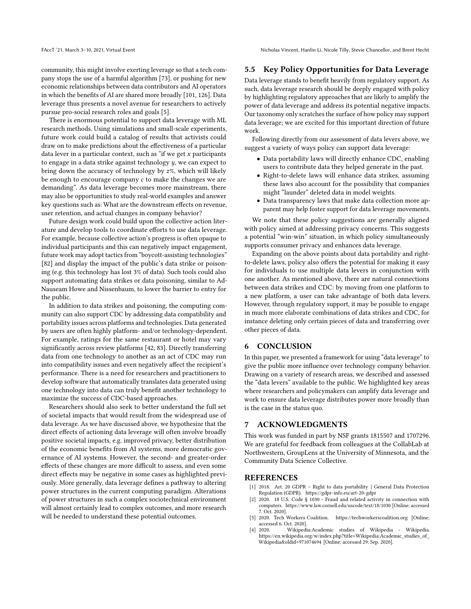FAccT '21, March 3–10, 2021, Virtual Event Nicholas Vincent, Hanlin Li, Nicole Tilly, Stevie Chancellor, and Brent Hecht

community, this might involve exerting leverage so that a tech company stops the use of a harmful algorithm [\[73\]](#page-11-4), or pushing for new economic relationships between data contributors and AI operators in which the benefits of AI are shared more broadly [\[101,](#page-11-2) [126\]](#page-12-5). Data leverage thus presents a novel avenue for researchers to actively pursue pro-social research roles and goals [\[5\]](#page-10-5).

There is enormous potential to support data leverage with ML research methods. Using simulations and small-scale experiments, future work could build a catalog of results that activists could draw on to make predictions about the effectiveness of a particular data lever in a particular context, such as "if we get  $x$  participants" to engage in a data strike against technology  $y$ , we can expect to bring down the accuracy of technology by  $z$ %, which will likely be enough to encourage company  $c$  to make the changes we are demanding". As data leverage becomes more mainstream, there may also be opportunities to study real-world examples and answer key questions such as: What are the downstream effects on revenue, user retention, and actual changes in company behavior?

Future design work could build upon the collective action literature and develop tools to coordinate efforts to use data leverage. For example, because collective action's progress is often opaque to individual participants and this can negatively impact engagement, future work may adopt tactics from "boycott-assisting technologies" [\[82\]](#page-11-39) and display the impact of the public's data strike or poisoning (e.g. this technology has lost 3% of data). Such tools could also support automating data strikes or data poisoning, similar to Ad-Nauseam [Howe and Nissenbaum,](#page-11-34) to lower the barrier to entry for the public.

In addition to data strikes and poisoning, the computing community can also support CDC by addressing data compatibility and portability issues across platforms and technologies. Data generated by users are often highly platform- and/or technology-dependent. For example, ratings for the same restaurant or hotel may vary significantly across review platforms [\[42,](#page-10-35) [83\]](#page-11-50). Directly transferring data from one technology to another as an act of CDC may run into compatibility issues and even negatively affect the recipient's performance. There is a need for researchers and practitioners to develop software that automatically translates data generated using one technology into data can truly benefit another technology to maximize the success of CDC-based approaches.

Researchers should also seek to better understand the full set of societal impacts that would result from the widespread use of data leverage. As we have discussed above, we hypothesize that the direct effects of actioning data leverage will often involve broadly positive societal impacts, e.g. improved privacy, better distribution of the economic benefits from AI systems, more democratic governance of AI systems. However, the second- and greater-order effects of these changes are more difficult to assess, and even some direct effects may be negative in some cases as highlighted previously. More generally, data leverage defines a pathway to altering power structures in the current computing paradigm. Alterations of power structures in such a complex sociotechnical environment will almost certainly lead to complex outcomes, and more research will be needed to understand these potential outcomes.

# 5.5 Key Policy Opportunities for Data Leverage

Data leverage stands to benefit heavily from regulatory support. As such, data leverage research should be deeply engaged with policy by highlighting regulatory approaches that are likely to amplify the power of data leverage and address its potential negative impacts. Our taxonomy only scratches the surface of how policy may support data leverage; we are excited for this important direction of future work.

Following directly from our assessment of data levers above, we suggest a variety of ways policy can support data leverage:

- Data portability laws will directly enhance CDC, enabling users to contribute data they helped generate in the past.
- Right-to-delete laws will enhance data strikes, assuming these laws also account for the possibility that companies might "launder" deleted data in model weights.
- Data transparency laws that make data collection more apparent may help foster support for data leverage movements.

We note that these policy suggestions are generally aligned with policy aimed at addressing privacy concerns. This suggests a potential "win-win" situation, in which policy simultaneously supports consumer privacy and enhances data leverage.

Expanding on the above points about data portability and rightto-delete laws, policy also offers the potential for making it easy for individuals to use multiple data levers in conjunction with one another. As mentioned above, there are natural connections between data strikes and CDC: by moving from one platform to a new platform, a user can take advantage of both data levers. However, through regulatory support, it may be possible to engage in much more elaborate combinations of data strikes and CDC, for instance deleting only certain pieces of data and transferring over other pieces of data.

# 6 CONCLUSION

In this paper, we presented a framework for using "data leverage" to give the public more influence over technology company behavior. Drawing on a variety of research areas, we described and assessed the "data levers" available to the public. We highlighted key areas where researchers and policymakers can amplify data leverage and work to ensure data leverage distributes power more broadly than is the case in the status quo.

#### 7 ACKNOWLEDGMENTS

This work was funded in part by NSF grants 1815507 and 1707296. We are grateful for feedback from colleagues at the CollabLab at Northwestern, GroupLens at the University of Minnesota, and the Community Data Science Collective.

## **REFERENCES**

- <span id="page-9-1"></span>[1] 2018. Art. 20 GDPR – Right to data portability | General Data Protection Regulation (GDPR).<https://gdpr-info.eu/art-20-gdpr>
- <span id="page-9-0"></span>[2] 2020. 18 U.S. Code § 1030 - Fraud and related activity in connection with computers.<https://www.law.cornell.edu/uscode/text/18/1030> [Online; accessed 7. Oct. 2020].
- <span id="page-9-2"></span>[3] 2020. Tech Workers Coalition.<https://techworkerscoalition.org> [Online; accessed 6. Oct. 2020].<br>[4] 2020. Wikipedi
- <span id="page-9-3"></span>Wikipedia:Academic studies of Wikipedia - Wikipedia. [https://en.wikipedia.org/w/index.php?title=Wikipedia:Academic\\_studies\\_of\\_](https://en.wikipedia.org/w/index.php?title=Wikipedia:Academic_studies_of_Wikipedia&oldid=971074694) [Wikipedia&oldid=971074694](https://en.wikipedia.org/w/index.php?title=Wikipedia:Academic_studies_of_Wikipedia&oldid=971074694) [Online; accessed 29. Sep. 2020].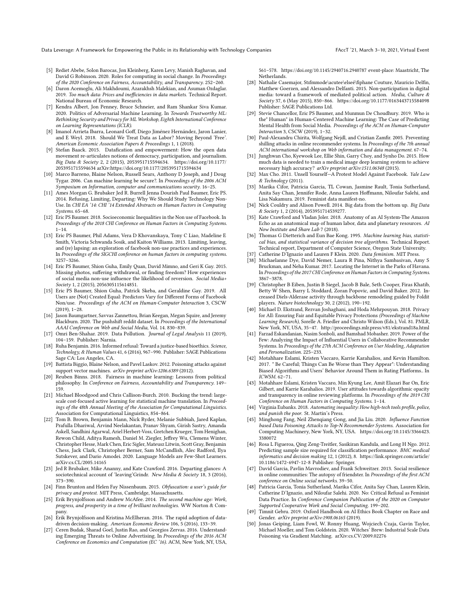Data Leverage: A Framework for Empowering the Public in its Relationship with Technology Companies FAccT '21, March 3-10, 2021, Virtual Event

- <span id="page-10-5"></span>[5] Rediet Abebe, Solon Barocas, Jon Kleinberg, Karen Levy, Manish Raghavan, and David G Robinson. 2020. Roles for computing in social change. In Proceedings of the 2020 Conference on Fairness, Accountability, and Transparency. 252–260.
- <span id="page-10-39"></span>Daron Acemoglu, Ali Makhdoumi, Azarakhsh Malekian, and Asuman Ozdaglar. 2019. Too much data: Prices and inefficiencies in data markets. Technical Report. National Bureau of Economic Research.
- <span id="page-10-6"></span>[7] Kendra Albert, Jon Penney, Bruce Schneier, and Ram Shankar Siva Kumar. 2020. Politics of Adversarial Machine Learning. In Towards Trustworthy ML: Rethinking Security and Privacy for ML Workshop, Eighth International Conference on Learning Representations (ICLR).
- <span id="page-10-1"></span>[8] Imanol Arrieta Ibarra, Leonard Goff, Diego Jiménez Hernández, Jaron Lanier, and E Weyl. 2018. Should We Treat Data as Labor? Moving Beyond 'Free'. American Economic Association Papers & Proceedings 1, 1 (2018).
- <span id="page-10-31"></span>[9] Stefan Baack. 2015. Datafication and empowerment: How the open data movement re-articulates notions of democracy, participation, and journalism. Big Data & Society 2, 2 (2015), 2053951715594634. [https://doi.org/10.1177/](https://doi.org/10.1177/2053951715594634) [2053951715594634](https://doi.org/10.1177/2053951715594634) arXiv[:https://doi.org/10.1177/2053951715594634](https://arxiv.org/abs/https://doi.org/10.1177/2053951715594634)
- <span id="page-10-23"></span>[10] Marco Barreno, Blaine Nelson, Russell Sears, Anthony D Joseph, and J Doug Tygar. 2006. Can machine learning be secure?. In Proceedings of the 2006 ACM Symposium on Information, computer and communications security. 16–25.
- <span id="page-10-15"></span>[11] Ames Morgan G. Brubaker Jed R. Burrell Jenna Dourish Paul Baumer, Eric PS. 2014. Refusing, Limiting, Departing: Why We Should Study Technology Non-Use. In CHI EA '14: CHI '14 Extended Abstracts on Human Factors in Computing Systems. 65–68.
- <span id="page-10-10"></span>[12] Eric PS Baumer. 2018. Socioeconomic Inequalities in the Non use of Facebook. In Proceedings of the 2018 CHI Conference on Human Factors in Computing Systems.  $1 - 14.$
- <span id="page-10-16"></span>[13] Eric PS Baumer, Phil Adams, Vera D Khovanskaya, Tony C Liao, Madeline E Smith, Victoria Schwanda Sosik, and Kaiton Williams. 2013. Limiting, leaving, and (re) lapsing: an exploration of facebook non-use practices and experiences. In Proceedings of the SIGCHI conference on human factors in computing systems. 3257–3266.
- <span id="page-10-18"></span>[14] Eric PS Baumer, Shion Guha, Emily Quan, David Mimno, and Geri K Gay. 2015. Missing photos, suffering withdrawal, or finding freedom? How experiences of social media non-use influence the likelihood of reversion. Social Media+ Society 1, 2 (2015), 2056305115614851.
- <span id="page-10-11"></span>[15] Eric PS Baumer, Shion Guha, Patrick Skeba, and Geraldine Gay. 2019. All Users are (Not) Created Equal: Predictors Vary for Different Forms of Facebook Non/use. Proceedings of the ACM on Human-Computer Interaction 3, CSCW (2019), 1–28.
- <span id="page-10-45"></span>[16] Jason Baumgartner, Savvas Zannettou, Brian Keegan, Megan Squire, and Jeremy Blackburn. 2020. The pushshift reddit dataset. In Proceedings of the International AAAI Conference on Web and Social Media, Vol. 14. 830–839.
- <span id="page-10-40"></span>[17] Omri Ben-Shahar. 2019. Data Pollution. Journal of Legal Analysis 11 (2019), 104–159. Publisher: Narnia.
- <span id="page-10-20"></span>[18] Ruha Benjamin. 2016. Informed refusal: Toward a justice-based bioethics. Science, Technology, & Human Values 41, 6 (2016), 967–990. Publisher: SAGE Publications Sage CA: Los Angeles, CA.
- <span id="page-10-24"></span>[19] Battista Biggio, Blaine Nelson, and Pavel Laskov. 2012. Poisoning attacks against support vector machines. *arXiv preprint arXiv:1206.6389* (2012).
- <span id="page-10-8"></span>[20] Reuben Binns. 2018. Fairness in machine learning: Lessons from political philosophy. In Conference on Fairness, Accountability and Transparency. 149– 159.
- <span id="page-10-30"></span>[21] Michael Bloodgood and Chris Callison-Burch. 2010. Bucking the trend: largescale cost-focused active learning for statistical machine translation. In Proceedings of the 48th Annual Meeting of the Association for Computational Linguistics. Association for Computational Linguistics, 854–864.
- <span id="page-10-44"></span>[22] Tom B. Brown, Benjamin Mann, Nick Ryder, Melanie Subbiah, Jared Kaplan, Prafulla Dhariwal, Arvind Neelakantan, Pranav Shyam, Girish Sastry, Amanda Askell, Sandhini Agarwal, Ariel Herbert-Voss, Gretchen Krueger, Tom Henighan, Rewon Child, Aditya Ramesh, Daniel M. Ziegler, Jeffrey Wu, Clemens Winter, Christopher Hesse, Mark Chen, Eric Sigler, Mateusz Litwin, Scott Gray, Benjamin Chess, Jack Clark, Christopher Berner, Sam McCandlish, Alec Radford, Ilya Sutskever, and Dario Amodei. 2020. Language Models are Few-Shot Learners. arXiv[:cs.CL/2005.14165](https://arxiv.org/abs/cs.CL/2005.14165)
- <span id="page-10-17"></span>[23] Jed R Brubaker, Mike Ananny, and Kate Crawford. 2016. Departing glances: A sociotechnical account of 'leaving'Grindr. New Media & Society 18, 3 (2016), 373–390.
- <span id="page-10-3"></span>[24] Finn Brunton and Helen Fay Nissenbaum. 2015. Obfuscation: a user's guide for privacy and protest. MIT Press, Cambridge, Massachusetts.
- <span id="page-10-0"></span>[25] Erik Brynjolfsson and Andrew McAfee. 2014. The second machine age: Work, progress, and prosperity in a time of brilliant technologies. WW Norton & Company.
- <span id="page-10-2"></span>[26] Erik Brynjolfsson and Kristina McElheran. 2016. The rapid adoption of datadriven decision-making. American Economic Review 106, 5 (2016), 133–39.
- <span id="page-10-33"></span>[27] Ceren Budak, Sharad Goel, Justin Rao, and Georgios Zervas. 2016. Understanding Emerging Threats to Online Advertising. In Proceedings of the 2016 ACM Conference on Economics and Computation (EC '16). ACM, New York, NY, USA,

561–578.<https://doi.org/10.1145/2940716.2940787> event-place: Maastricht, The **Netherlands** 

- <span id="page-10-19"></span>[28] Nathalie Casemajor, Stıfmmode\acutee\elseé\fiphane Couture, Mauricio Delfin, Matthew Goerzen, and Alessandro Delfanti. 2015. Non-participation in digital media: toward a framework of mediated political action. Media, Culture & Society 37, 6 (May 2015), 850–866.<https://doi.org/10.1177/0163443715584098> Publisher: SAGE Publications Ltd.
- <span id="page-10-9"></span>[29] Stevie Chancellor, Eric PS Baumer, and Munmun De Choudhury. 2019. Who is the" Human" in Human-Centered Machine Learning: The Case of Predicting Mental Health from Social Media. Proceedings of the ACM on Human-Computer Interaction 3, CSCW (2019), 1–32.
- <span id="page-10-25"></span>[30] Paul-Alexandru Chirita, Wolfgang Nejdl, and Cristian Zamfir. 2005. Preventing shilling attacks in online recommender systems. In Proceedings of the 7th annual ACM international workshop on Web information and data management. 67–74.
- <span id="page-10-27"></span>[31] Junghwan Cho, Kyewook Lee, Ellie Shin, Garry Choy, and Synho Do. 2015. How much data is needed to train a medical image deep learning system to achieve necessary high accuracy? arXiv preprint arXiv:1511.06348 (2015).
- <span id="page-10-37"></span>[32] Max Cho. 2011. Unsell Yourself—A Protest Model Against Facebook. Yale Law & Technology (2011).
- <span id="page-10-21"></span>[33] Marika Cifor, Patricia Garcia, TL Cowan, Jasmine Rault, Tonia Sutherland, Anita Say Chan, Jennifer Rode, Anna Lauren Hoffmann, Niloufar Salehi, and Lisa Nakamura. 2019. Feminist data manifest-no.
- <span id="page-10-32"></span>[34] Nick Couldry and Alison Powell. 2014. Big data from the bottom up. Big Data & Society 1, 2 (2014), 2053951714539277.
- <span id="page-10-14"></span>[35] Kate Crawford and Vladan Joler. 2018. Anatomy of an AI System-The Amazon Echo as an anatomical map of human labor, data and planetary resources. AI Now Institute and Share Lab 7 (2018).
- <span id="page-10-28"></span>[36] Thomas G Dietterich and Eun Bae Kong. 1995. Machine learning bias, statistical bias, and statistical variance of decision tree algorithms. Technical Report. Technical report, Department of Computer Science, Oregon State University.
- <span id="page-10-13"></span>[37] Catherine D'Ignazio and Lauren F Klein. 2020. Data feminism. MIT Press.
- <span id="page-10-43"></span>[38] Michaelanne Dye, David Nemer, Laura R Pina, Nithya Sambasivan, Amy S Bruckman, and Neha Kumar. 2017. Locating the Internet in the Parks of Havana. In Proceedings of the 2017 CHI Conference on Human Factors in Computing Systems. 3867–3878.
- <span id="page-10-42"></span>[39] Christopher B Eiben, Justin B Siegel, Jacob B Bale, Seth Cooper, Firas Khatib, Betty W Shen, Barry L Stoddard, Zoran Popovic, and David Baker. 2012. Increased Diels-Alderase activity through backbone remodeling guided by Foldit players. Nature biotechnology 30, 2 (2012), 190–192.
- <span id="page-10-4"></span>[40] Michael D. Ekstrand, Rezvan Joshaghani, and Hoda Mehrpouyan. 2018. Privacy for All: Ensuring Fair and Equitable Privacy Protections (Proceedings of Machine Learning Research), Sorelle A. Friedler and Christo Wilson (Eds.), Vol. 81. PMLR, New York, NY, USA, 35–47.<http://proceedings.mlr.press/v81/ekstrand18a.html>
- <span id="page-10-34"></span>[41] Farzad Eskandanian, Nasim Sonboli, and Bamshad Mobasher. 2019. Power of the Few: Analyzing the Impact of Influential Users in Collaborative Recommender Systems. In Proceedings of the 27th ACM Conference on User Modeling, Adaptation and Personalization. 225–233.
- <span id="page-10-35"></span>[42] Motahhare Eslami, Kristen Vaccaro, Karrie Karahalios, and Kevin Hamilton. 2017. " Be Careful; Things Can Be Worse than They Appear": Understanding Biased Algorithms and Users' Behavior Around Them in Rating Platforms.. In ICWSM. 62–71.
- <span id="page-10-36"></span>[43] Motahhare Eslami, Kristen Vaccaro, Min Kyung Lee, Amit Elazari Bar On, Eric Gilbert, and Karrie Karahalios. 2019. User attitudes towards algorithmic opacity and transparency in online reviewing platforms. In Proceedings of the 2019 CHI Conference on Human Factors in Computing Systems. 1–14.
- <span id="page-10-7"></span>[44] Virginia Eubanks. 2018. Automating inequality: How high-tech tools profile, police, and punish the poor. St. Martin's Press.
- <span id="page-10-26"></span>[45] Minghong Fang, Neil Zhenqiang Gong, and Jia Liu. 2020. Influence Function based Data Poisoning Attacks to Top-N Recommender Systems. Association for Computing Machinery, New York, NY, USA. [https://doi.org/10.1145/3366423.](https://doi.org/10.1145/3366423.3380072) [3380072](https://doi.org/10.1145/3366423.3380072)
- <span id="page-10-29"></span>[46] Rosa L Figueroa, Qing Zeng-Treitler, Sasikiran Kandula, and Long H Ngo. 2012. Predicting sample size required for classification performance. BMC medical informatics and decision making 12, 1 (2012), 8. [https://link.springer.com/article/](https://link.springer.com/article/10.1186/1472-6947-12-8) [10.1186/1472-6947-12-8](https://link.springer.com/article/10.1186/1472-6947-12-8) Publisher: Springer.
- <span id="page-10-41"></span>[47] David Garcia, Pavlin Mavrodiev, and Frank Schweitzer. 2013. Social resilience in online communities: The autopsy of friendster. In Proceedings of the first ACM conference on Online social networks. 39–50.
- <span id="page-10-22"></span>[48] Patricia Garcia, Tonia Sutherland, Marika Cifor, Anita Say Chan, Lauren Klein, Catherine D'Ignazio, and Niloufar Salehi. 2020. No: Critical Refusal as Feminist Data Practice. In Conference Companion Publication of the 2020 on Computer Supported Cooperative Work and Social Computing. 199–202.
- <span id="page-10-12"></span>[49] Timnit Gebru. 2019. Oxford Handbook on AI Ethics Book Chapter on Race and Gender. arXiv preprint arXiv:1908.06165 (2019).
- <span id="page-10-38"></span>[50] Jonas Geiping, Liam Fowl, W. Ronny Huang, Wojciech Czaja, Gavin Taylor, Michael Moeller, and Tom Goldstein. 2020. Witches' Brew: Industrial Scale Data Poisoning via Gradient Matching. arXiv[:cs.CV/2009.02276](https://arxiv.org/abs/cs.CV/2009.02276)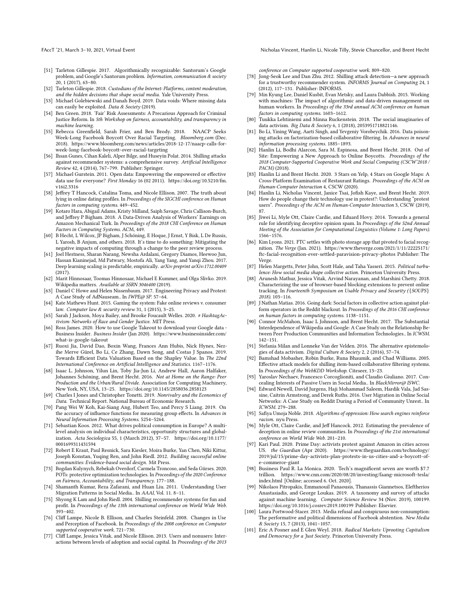- <span id="page-11-33"></span>[51] Tarleton Gillespie. 2017. Algorithmically recognizable: Santorum's Google problem, and Google's Santorum problem. Information, communication & society 20, 1 (2017), 63–80.
- <span id="page-11-8"></span>[52] Tarleton Gillespie. 2018. Custodians of the Internet: Platforms, content moderation, and the hidden decisions that shape social media. Yale University Press.
- <span id="page-11-49"></span>[53] Michael Golebiewski and Danah Boyd. 2019. Data voids: Where missing data can easily be exploited. Data & Society (2019).
- <span id="page-11-9"></span>[54] Ben Green. 2018. 'Fair' Risk Assessments: A Precarious Approach for Criminal Justice Reform. In 5th Workshop on fairness, accountability, and transparency in machine learning.
- <span id="page-11-26"></span>[55] Rebecca Greenfield, Sarah Frier, and Ben Brody. 2018. NAACP Seeks Week-Long Facebook Boycott Over Racial Targeting. Bloomberg.com (Dec. 2018). [https://www.bloomberg.com/news/articles/2018-12-17/naacp-calls-for](https://www.bloomberg.com/news/articles/2018-12-17/naacp-calls-for-week-long-facebook-boycott-over-racial-targeting)[week-long-facebook-boycott-over-racial-targeting](https://www.bloomberg.com/news/articles/2018-12-17/naacp-calls-for-week-long-facebook-boycott-over-racial-targeting)
- <span id="page-11-16"></span>[56] Ihsan Gunes, Cihan Kaleli, Alper Bilge, and Huseyin Polat. 2014. Shilling attacks against recommender systems: a comprehensive survey. Artificial Intelligence Review 42, 4 (2014), 767–799. Publisher: Springer.
- <span id="page-11-24"></span>[57] Michael Gurstein. 2011. Open data: Empowering the empowered or effective data use for everyone? First Monday 16 (02 2011). [https://doi.org/10.5210/fm.](https://doi.org/10.5210/fm.v16i2.3316) [v16i2.3316](https://doi.org/10.5210/fm.v16i2.3316)
- <span id="page-11-41"></span>[58] Jeffrey T Hancock, Catalina Toma, and Nicole Ellison. 2007. The truth about lying in online dating profiles. In Proceedings of the SIGCHI conference on Human factors in computing systems. 449–452.
- <span id="page-11-6"></span>[59] Kotaro Hara, Abigail Adams, Kristy Milland, Saiph Savage, Chris Callison-Burch, and Jeffrey P Bigham. 2018. A Data-Driven Analysis of Workers' Earnings on Amazon Mechanical Turk. In Proceedings of the 2018 CHI Conference on Human Factors in Computing Systems. ACM, 449.
- <span id="page-11-3"></span>[60] B Hecht, L Wilcox, JP Bigham, J Schöning, E Hoque, J Ernst, Y Bisk, L De Russis, L Yarosh, B Anjum, and others. 2018. It's time to do something: Mitigating the negative impacts of computing through a change to the peer review process.
- <span id="page-11-22"></span>[61] Joel Hestness, Sharan Narang, Newsha Ardalani, Gregory Diamos, Heewoo Jun, Hassan Kianinejad, Md Patwary, Mostofa Ali, Yang Yang, and Yanqi Zhou. 2017. Deep learning scaling is predictable, empirically. arXiv preprint arXiv:1712.00409 (2017).
- <span id="page-11-12"></span>[62] Marit Hinnosaar, Toomas Hinnosaar, Michael E Kummer, and Olga Slivko. 2019. Wikipedia matters. Available at SSRN 3046400 (2019).
- <span id="page-11-34"></span>[63] Daniel C Howe and Helen Nissenbaum. 2017. Engineering Privacy and Protest: A Case Study of AdNauseam.. In IWPE@ SP. 57–64.
- <span id="page-11-42"></span>[64] Kate Mathews Hunt. 2015. Gaming the system: Fake online reviews v. consumer law. Computer law & security review 31, 1 (2015), 3–25.
- <span id="page-11-29"></span>[65] Sarah J Jackson, Moya Bailey, and Brooke Foucault Welles. 2020. # HashtagActivism: Networks of Race and Gender Justice. MIT Press.
- <span id="page-11-44"></span>[66] Ross James. 2020. How to use Google Takeout to download your Google data -Business Insider. Business Insider (Jan 2020). [https://www.businessinsider.com/](https://www.businessinsider.com/what-is-google-takeout) [what-is-google-takeout](https://www.businessinsider.com/what-is-google-takeout)
- <span id="page-11-45"></span>[67] Ruoxi Jia, David Dao, Boxin Wang, Frances Ann Hubis, Nick Hynes, Nezihe Merve Gürel, Bo Li, Ce Zhang, Dawn Song, and Costas J Spanos. 2019. Towards Efficient Data Valuation Based on the Shapley Value. In The 22nd International Conference on Artificial Intelligence and Statistics. 1167–1176.
- <span id="page-11-48"></span>[68] Isaac L. Johnson, Yilun Lin, Toby Jia-Jun Li, Andrew Hall, Aaron Halfaker, Johannes Schöning, and Brent Hecht. 2016. Not at Home on the Range: Peer Production and the Urban/Rural Divide. Association for Computing Machinery, New York, NY, USA, 13–25.<https://doi.org/10.1145/2858036.2858123>
- <span id="page-11-47"></span>[69] Charles I Jones and Christopher Tonetti. 2019. Nonrivalry and the Economics of Data. Technical Report. National Bureau of Economic Research.
- <span id="page-11-11"></span>[70] Pang Wei W Koh, Kai-Siang Ang, Hubert Teo, and Percy S Liang. 2019. On the accuracy of influence functions for measuring group effects. In Advances in Neural Information Processing Systems. 5254–5264.
- <span id="page-11-43"></span>[71] Sebastian Koos. 2012. What drives political consumption in Europe? A multilevel analysis on individual characteristics, opportunity structures and globalization. Acta Sociologica 55, 1 (March 2012), 37–57. [https://doi.org/10.1177/](https://doi.org/10.1177/0001699311431594) [0001699311431594](https://doi.org/10.1177/0001699311431594)
- <span id="page-11-40"></span>[72] Robert E Kraut, Paul Resnick, Sara Kiesler, Moira Burke, Yan Chen, Niki Kittur, Joseph Konstan, Yuqing Ren, and John Riedl. 2012. Building successful online communities: Evidence-based social design. Mit Press.
- <span id="page-11-4"></span>[73] Bogdan Kulynych, Rebekah Overdorf, Carmela Troncoso, and Seda Gürses. 2020. POTs: protective optimization technologies. In Proceedings of the 2020 Conference on Fairness, Accountability, and Transparency. 177–188.
- <span id="page-11-46"></span>[74] Shamanth Kumar, Reza Zafarani, and Huan Liu. 2011. Understanding User Migration Patterns in Social Media.. In AAAI, Vol. 11. 8–11.
- <span id="page-11-17"></span>[75] Shyong K Lam and John Riedl. 2004. Shilling recommender systems for fun and profit. In Proceedings of the 13th international conference on World Wide Web. .<br>393–402.
- <span id="page-11-13"></span>[76] Cliff Lampe, Nicole B. Ellison, and Charles Steinfeld. 2008. Changes in Use and Perception of Facebook. In Proceedings of the 2008 conference on Computer supported cooperative work. 721–730.
- <span id="page-11-10"></span>[77] Cliff Lampe, Jessica Vitak, and Nicole Ellison. 2013. Users and nonusers: Interactions between levels of adoption and social capital. In Proceedings of the 2013

FAccT '21, March 3–10, 2021, Virtual Event Nicholas Vincent, Hanlin Li, Nicole Tilly, Stevie Chancellor, and Brent Hecht

conference on Computer supported cooperative work. 809–820.

- <span id="page-11-18"></span>[78] Jong-Seok Lee and Dan Zhu. 2012. Shilling attack detection—a new approach for a trustworthy recommender system. INFORMS Journal on Computing 24, 1 (2012), 117–131. Publisher: INFORMS.
- <span id="page-11-38"></span>[79] Min Kyung Lee, Daniel Kusbit, Evan Metsky, and Laura Dabbish. 2015. Working with machines: The impact of algorithmic and data-driven management on human workers. In Proceedings of the 33rd annual ACM conference on human factors in computing systems. 1603–1612.
- <span id="page-11-25"></span>[80] Tuukka Lehtiniemi and Minna Ruckenstein. 2018. The social imaginaries of data activism. Big Data & Society 6, 1 (2018), 2053951718821146.
- <span id="page-11-19"></span>[81] Bo Li, Yining Wang, Aarti Singh, and Yevgeniy Vorobeychik. 2016. Data poisoning attacks on factorization-based collaborative filtering. In Advances in neural information processing systems. 1885–1893.
- <span id="page-11-39"></span>[82] Hanlin Li, Bodhi Alarcon, Sara M. Espinosa, and Brent Hecht. 2018. Out of Site: Empowering a New Approach to Online Boycotts. Proceedings of the 2018 Computer-Supported Cooperative Work and Social Computing (CSCW'2018 / PACM) (2018).
- <span id="page-11-50"></span>[83] Hanlin Li and Brent Hecht. 2020. 3 Stars on Yelp, 4 Stars on Google Maps: A Cross-Platform Examination of Restaurant Ratings. Proceedings of the ACM on Human-Computer Interaction 4, CSCW (2020).
- <span id="page-11-14"></span>[84] Hanlin Li, Nicholas Vincent, Janice Tsai, Jofish Kaye, and Brent Hecht. 2019. How do people change their technology use in protest?: Understanding "protest users". Proceedings of the ACM on Human-Computer Interaction 3, CSCW (2019), 87.
- <span id="page-11-36"></span>[85] Jiwei Li, Myle Ott, Claire Cardie, and Eduard Hovy. 2014. Towards a general rule for identifying deceptive opinion spam. In Proceedings of the 52nd Annual Meeting of the Association for Computational Linguistics (Volume 1: Long Papers). 1566–1576.
- <span id="page-11-28"></span>[86] Kim Lyons. 2021. FTC settles with photo storage app that pivoted to facial recognition. The Verge (Jan. 2021). [https://www.theverge.com/2021/1/11/22225171/](https://www.theverge.com/2021/1/11/22225171/ftc-facial-recognition-ever-settled-paravision-privacy-photos) [ftc-facial-recognition-ever-settled-paravision-privacy-photos](https://www.theverge.com/2021/1/11/22225171/ftc-facial-recognition-ever-settled-paravision-privacy-photos) Publisher: The Verge.
- <span id="page-11-30"></span>[87] Helen Margetts, Peter John, Scott Hale, and Taha Yasseri. 2015. Political turbulence: How social media shape collective action. Princeton University Press.
- <span id="page-11-27"></span>[88] Arunesh Mathur, Jessica Vitak, Arvind Narayanan, and Marshini Chetty. 2018. Characterizing the use of browser-based blocking extensions to prevent online tracking. In Fourteenth Symposium on Usable Privacy and Security ({SOUPS} 2018). 103–116.
- <span id="page-11-31"></span>[89] J Nathan Matias. 2016. Going dark: Social factors in collective action against platform operators in the Reddit blackout. In Proceedings of the 2016 CHI conference on human factors in computing systems. 1138–1151.
- <span id="page-11-1"></span>[90] Connor McMahon, Isaac L Johnson, and Brent Hecht. 2017. The Substantial Interdependence of Wikipedia and Google: A Case Study on the Relationship Between Peer Production Communities and Information Technologies.. In ICWSM. 142–151.
- <span id="page-11-23"></span>[91] Stefania Milan and Lonneke Van der Velden. 2016. The alternative epistemologies of data activism. Digital Culture & Society 2, 2 (2016), 57–74.
- <span id="page-11-20"></span>[92] Bamshad Mobasher, Robin Burke, Runa Bhaumik, and Chad Williams. 2005. Effective attack models for shilling item-based collaborative filtering systems. In Proceedings of the WebKDD Workshop. Citeseer, 13–23.
- <span id="page-11-35"></span>[93] Yaroslav Nechaev, Francesco Corcoglioniti, and Claudio Giuliano. 2017. Concealing Interests of Passive Users in Social Media.. In BlackMirror@ ISWC.
- <span id="page-11-32"></span>[94] Edward Newell, David Jurgens, Haji Mohammad Saleem, Hardik Vala, Jad Sassine, Caitrin Armstrong, and Derek Ruths. 2016. User Migration in Online Social Networks: A Case Study on Reddit During a Period of Community Unrest.. In ICWSM. 279–288.
- <span id="page-11-5"></span>[95] Safiya Umoja Noble. 2018. Algorithms of oppression: How search engines reinforce racism. nyu Press.
- <span id="page-11-37"></span>[96] Myle Ott, Claire Cardie, and Jeff Hancock. 2012. Estimating the prevalence of deception in online review communities. In Proceedings of the 21st international conference on World Wide Web. 201–210.
- <span id="page-11-7"></span>[97] Kari Paul. 2020. Prime Day: activists protest against Amazon in cities across US. the Guardian (Apr 2020). [https://www.theguardian.com/technology/](https://www.theguardian.com/technology/2019/jul/15/prime-day-activists-plan-protests-in-us-cities-and-a-boycott-of-e-commerce-giant) [2019/jul/15/prime-day-activists-plan-protests-in-us-cities-and-a-boycott-of](https://www.theguardian.com/technology/2019/jul/15/prime-day-activists-plan-protests-in-us-cities-and-a-boycott-of-e-commerce-giant)[e-commerce-giant](https://www.theguardian.com/technology/2019/jul/15/prime-day-activists-plan-protests-in-us-cities-and-a-boycott-of-e-commerce-giant)
- <span id="page-11-0"></span>[98] Business Paul R. La Monica. 2020. Tech's magnificent seven are worth \$7.7 trillion. [https://www.cnn.com/2020/08/20/investing/faang-microsoft-tesla/](https://www.cnn.com/2020/08/20/investing/faang-microsoft-tesla/index.html) [index.html](https://www.cnn.com/2020/08/20/investing/faang-microsoft-tesla/index.html) [Online; accessed 6. Oct. 2020].
- <span id="page-11-21"></span>[99] Nikolaos Pitropakis, Emmanouil Panaousis, Thanassis Giannetsos, Eleftherios Anastasiadis, and George Loukas. 2019. A taxonomy and survey of attacks against machine learning. Computer Science Review 34 (Nov. 2019), 100199. <https://doi.org/10.1016/j.cosrev.2019.100199> Publisher: Elsevier.
- <span id="page-11-15"></span>[100] Laura Portwood-Stacer. 2013. Media refusal and conspicuous non-consumption: The performative and political dimensions of Facebook abstention. New Media & Society 15, 7 (2013), 1041–1057.
- <span id="page-11-2"></span>[101] Eric A Posner and E Glen Weyl. 2018. Radical Markets: Uprooting Capitalism and Democracy for a Just Society. Princeton University Press.